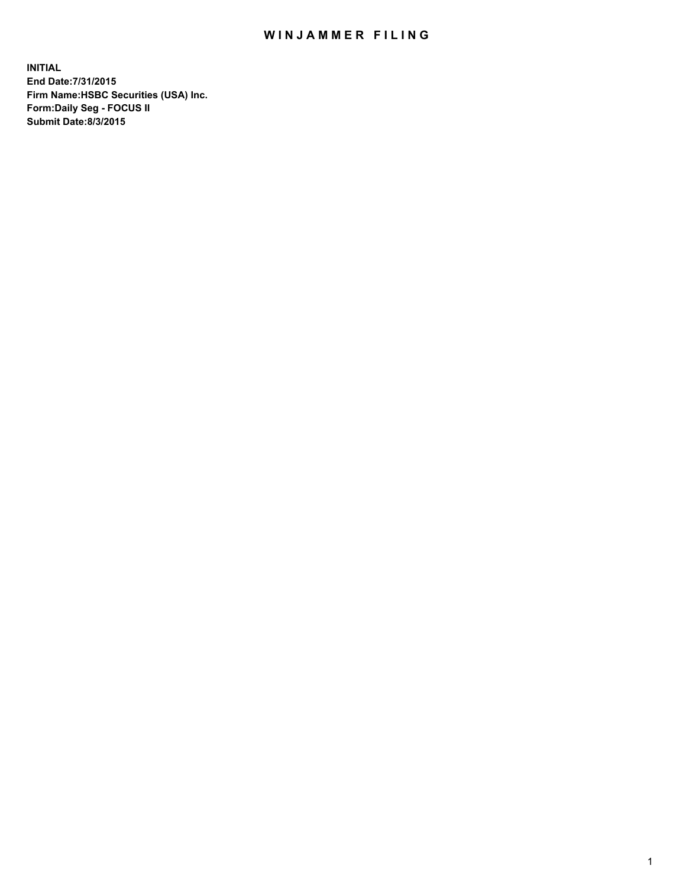## WIN JAMMER FILING

**INITIAL End Date:7/31/2015 Firm Name:HSBC Securities (USA) Inc. Form:Daily Seg - FOCUS II Submit Date:8/3/2015**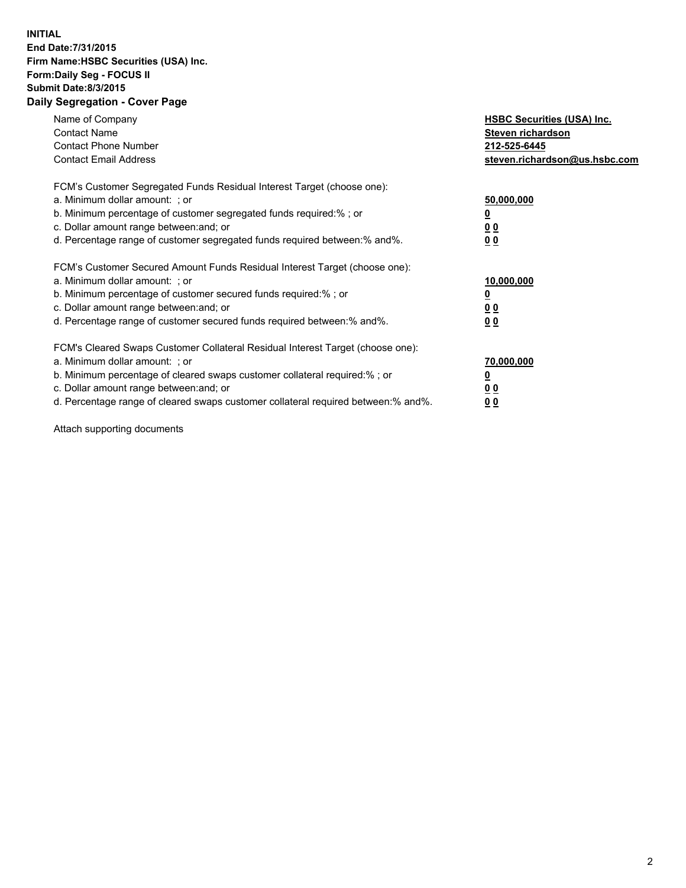## **INITIAL End Date:7/31/2015 Firm Name:HSBC Securities (USA) Inc. Form:Daily Seg - FOCUS II Submit Date:8/3/2015 Daily Segregation - Cover Page**

| Name of Company<br><b>Contact Name</b><br><b>Contact Phone Number</b><br><b>Contact Email Address</b>                                                                                                                                                                                                                         | <b>HSBC Securities (USA) Inc.</b><br>Steven richardson<br>212-525-6445<br>steven.richardson@us.hsbc.com |
|-------------------------------------------------------------------------------------------------------------------------------------------------------------------------------------------------------------------------------------------------------------------------------------------------------------------------------|---------------------------------------------------------------------------------------------------------|
| FCM's Customer Segregated Funds Residual Interest Target (choose one):<br>a. Minimum dollar amount: ; or<br>b. Minimum percentage of customer segregated funds required:%; or<br>c. Dollar amount range between: and; or<br>d. Percentage range of customer segregated funds required between:% and%.                         | 50,000,000<br>00<br>0 <sub>0</sub>                                                                      |
| FCM's Customer Secured Amount Funds Residual Interest Target (choose one):<br>a. Minimum dollar amount: ; or<br>b. Minimum percentage of customer secured funds required:%; or<br>c. Dollar amount range between: and; or<br>d. Percentage range of customer secured funds required between:% and%.                           | 10,000,000<br>0 <sub>0</sub><br>00                                                                      |
| FCM's Cleared Swaps Customer Collateral Residual Interest Target (choose one):<br>a. Minimum dollar amount: ; or<br>b. Minimum percentage of cleared swaps customer collateral required:%; or<br>c. Dollar amount range between: and; or<br>d. Percentage range of cleared swaps customer collateral required between:% and%. | 70,000,000<br><u>00</u><br><u>00</u>                                                                    |

Attach supporting documents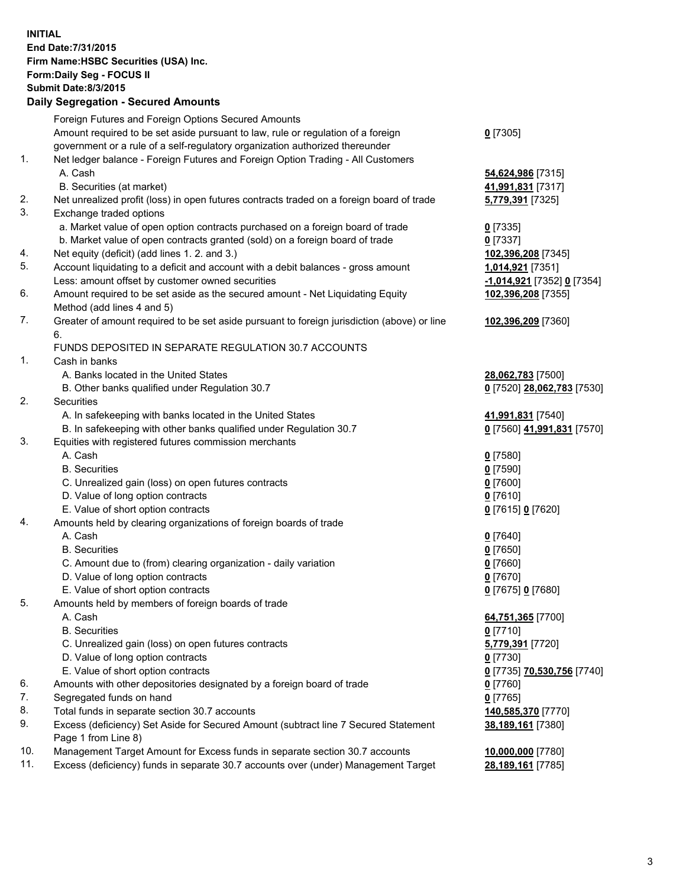**INITIAL End Date:7/31/2015 Firm Name:HSBC Securities (USA) Inc. Form:Daily Seg - FOCUS II Submit Date:8/3/2015 Daily Segregation - Secured Amounts** Foreign Futures and Foreign Options Secured Amounts Amount required to be set aside pursuant to law, rule or regulation of a foreign government or a rule of a self-regulatory organization authorized thereunder **0** [7305] 1. Net ledger balance - Foreign Futures and Foreign Option Trading - All Customers A. Cash **54,624,986** [7315] B. Securities (at market) **41,991,831** [7317] 2. Net unrealized profit (loss) in open futures contracts traded on a foreign board of trade **5,779,391** [7325] 3. Exchange traded options a. Market value of open option contracts purchased on a foreign board of trade **0** [7335] b. Market value of open contracts granted (sold) on a foreign board of trade **0** [7337] 4. Net equity (deficit) (add lines 1. 2. and 3.) **102,396,208** [7345] 5. Account liquidating to a deficit and account with a debit balances - gross amount **1,014,921** [7351] Less: amount offset by customer owned securities **-1,014,921** [7352] **0** [7354] 6. Amount required to be set aside as the secured amount - Net Liquidating Equity Method (add lines 4 and 5) **102,396,208** [7355] 7. Greater of amount required to be set aside pursuant to foreign jurisdiction (above) or line 6. **102,396,209** [7360] FUNDS DEPOSITED IN SEPARATE REGULATION 30.7 ACCOUNTS 1. Cash in banks A. Banks located in the United States **28,062,783** [7500] B. Other banks qualified under Regulation 30.7 **0** [7520] **28,062,783** [7530] 2. Securities A. In safekeeping with banks located in the United States **41,991,831** [7540] B. In safekeeping with other banks qualified under Regulation 30.7 **0** [7560] **41,991,831** [7570] 3. Equities with registered futures commission merchants A. Cash **0** [7580] B. Securities **0** [7590] C. Unrealized gain (loss) on open futures contracts **0** [7600] D. Value of long option contracts **0** [7610] E. Value of short option contracts **0** [7615] **0** [7620] 4. Amounts held by clearing organizations of foreign boards of trade A. Cash **0** [7640] B. Securities **0** [7650] C. Amount due to (from) clearing organization - daily variation **0** [7660] D. Value of long option contracts **0** [7670] E. Value of short option contracts **0** [7675] **0** [7680] 5. Amounts held by members of foreign boards of trade A. Cash **64,751,365** [7700] B. Securities **0** [7710] C. Unrealized gain (loss) on open futures contracts **5,779,391** [7720] D. Value of long option contracts **0** [7730] E. Value of short option contracts **0** [7735] **70,530,756** [7740] 6. Amounts with other depositories designated by a foreign board of trade **0** [7760] 7. Segregated funds on hand **0** [7765] 8. Total funds in separate section 30.7 accounts **140,585,370** [7770] 9. Excess (deficiency) Set Aside for Secured Amount (subtract line 7 Secured Statement Page 1 from Line 8) **38,189,161** [7380] 10. Management Target Amount for Excess funds in separate section 30.7 accounts **10,000,000** [7780]

11. Excess (deficiency) funds in separate 30.7 accounts over (under) Management Target **28,189,161** [7785]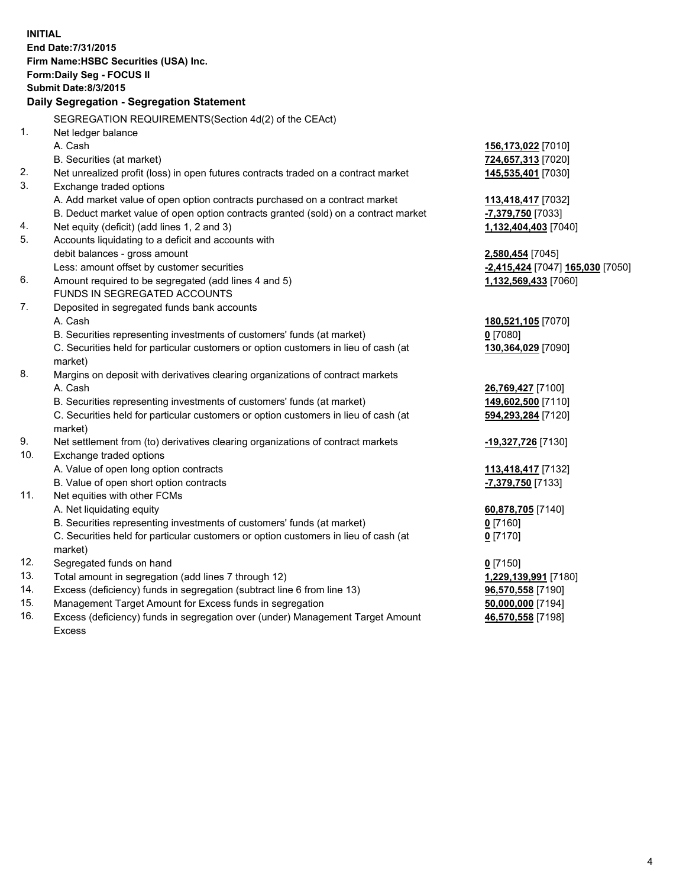| <b>INITIAL</b> | End Date: 7/31/2015<br>Firm Name: HSBC Securities (USA) Inc.<br>Form: Daily Seg - FOCUS II<br><b>Submit Date: 8/3/2015</b><br>Daily Segregation - Segregation Statement |                                  |
|----------------|-------------------------------------------------------------------------------------------------------------------------------------------------------------------------|----------------------------------|
|                | SEGREGATION REQUIREMENTS(Section 4d(2) of the CEAct)                                                                                                                    |                                  |
| 1.             | Net ledger balance                                                                                                                                                      |                                  |
|                | A. Cash                                                                                                                                                                 | 156,173,022 [7010]               |
|                | B. Securities (at market)                                                                                                                                               | 724,657,313 [7020]               |
| 2.             | Net unrealized profit (loss) in open futures contracts traded on a contract market                                                                                      | 145,535,401 [7030]               |
| 3.             | Exchange traded options                                                                                                                                                 |                                  |
|                | A. Add market value of open option contracts purchased on a contract market                                                                                             | 113,418,417 [7032]               |
|                | B. Deduct market value of open option contracts granted (sold) on a contract market                                                                                     | -7,379,750 [7033]                |
| 4.             | Net equity (deficit) (add lines 1, 2 and 3)                                                                                                                             | 1,132,404,403 [7040]             |
| 5.             | Accounts liquidating to a deficit and accounts with                                                                                                                     |                                  |
|                | debit balances - gross amount                                                                                                                                           | 2,580,454 [7045]                 |
|                | Less: amount offset by customer securities                                                                                                                              | -2,415,424 [7047] 165,030 [7050] |
| 6.             | Amount required to be segregated (add lines 4 and 5)                                                                                                                    | 1,132,569,433 [7060]             |
|                | FUNDS IN SEGREGATED ACCOUNTS                                                                                                                                            |                                  |
| 7.             | Deposited in segregated funds bank accounts                                                                                                                             |                                  |
|                | A. Cash                                                                                                                                                                 | 180,521,105 [7070]               |
|                | B. Securities representing investments of customers' funds (at market)                                                                                                  | $0$ [7080]                       |
|                | C. Securities held for particular customers or option customers in lieu of cash (at<br>market)                                                                          | 130,364,029 [7090]               |
| 8.             | Margins on deposit with derivatives clearing organizations of contract markets                                                                                          |                                  |
|                | A. Cash                                                                                                                                                                 | 26,769,427 [7100]                |
|                | B. Securities representing investments of customers' funds (at market)                                                                                                  | 149,602,500 [7110]               |
|                | C. Securities held for particular customers or option customers in lieu of cash (at<br>market)                                                                          | 594,293,284 [7120]               |
| 9.             | Net settlement from (to) derivatives clearing organizations of contract markets                                                                                         | -19,327,726 [7130]               |
| 10.            | Exchange traded options                                                                                                                                                 |                                  |
|                | A. Value of open long option contracts                                                                                                                                  | 113,418,417 [7132]               |
|                | B. Value of open short option contracts                                                                                                                                 | -7,379,750 [7133]                |
| 11.            | Net equities with other FCMs                                                                                                                                            |                                  |
|                | A. Net liquidating equity                                                                                                                                               | 60,878,705 [7140]                |
|                | B. Securities representing investments of customers' funds (at market)                                                                                                  | 0 <sup>[7160]</sup>              |
|                | C. Securities held for particular customers or option customers in lieu of cash (at                                                                                     | $0$ [7170]                       |
|                | market)                                                                                                                                                                 |                                  |
| 12.            | Segregated funds on hand                                                                                                                                                | $0$ [7150]                       |
| 13.            | Total amount in segregation (add lines 7 through 12)                                                                                                                    | 1,229,139,991 [7180]             |
| 14.            | Excess (deficiency) funds in segregation (subtract line 6 from line 13)                                                                                                 | 96,570,558 [7190]                |
| 15.            | Management Target Amount for Excess funds in segregation                                                                                                                | 50,000,000 [7194]                |
| 16.            | Excess (deficiency) funds in segregation over (under) Management Target Amount                                                                                          | 46,570,558 [7198]                |
|                | <b>Excess</b>                                                                                                                                                           |                                  |